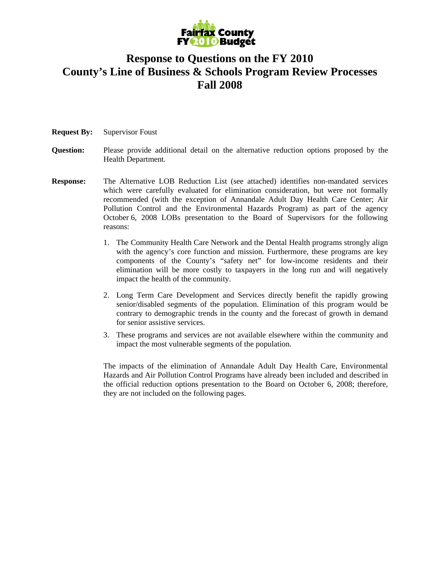

#### **Response to Questions on the FY 2010 County's Line of Business & Schools Program Review Processes Fall 2008**

- **Request By:** Supervisor Foust
- **Question:** Please provide additional detail on the alternative reduction options proposed by the Health Department.
- **Response:** The Alternative LOB Reduction List (see attached) identifies non-mandated services which were carefully evaluated for elimination consideration, but were not formally recommended (with the exception of Annandale Adult Day Health Care Center; Air Pollution Control and the Environmental Hazards Program) as part of the agency October 6, 2008 LOBs presentation to the Board of Supervisors for the following reasons:
	- 1. The Community Health Care Network and the Dental Health programs strongly align with the agency's core function and mission. Furthermore, these programs are key components of the County's "safety net" for low-income residents and their elimination will be more costly to taxpayers in the long run and will negatively impact the health of the community.
	- 2. Long Term Care Development and Services directly benefit the rapidly growing senior/disabled segments of the population. Elimination of this program would be contrary to demographic trends in the county and the forecast of growth in demand for senior assistive services.
	- 3. These programs and services are not available elsewhere within the community and impact the most vulnerable segments of the population.

 The impacts of the elimination of Annandale Adult Day Health Care, Environmental Hazards and Air Pollution Control Programs have already been included and described in the official reduction options presentation to the Board on October 6, 2008; therefore, they are not included on the following pages.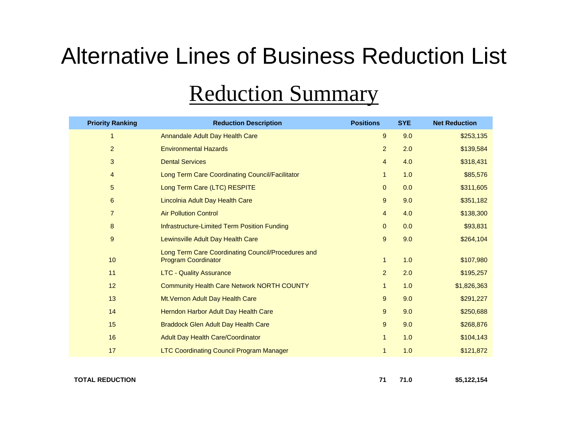# Alternative Lines of Business Reduction List

## Reduction Summary

| <b>Priority Ranking</b> | <b>Reduction Description</b>                                                     | <b>Positions</b> | <b>SYE</b> | <b>Net Reduction</b> |
|-------------------------|----------------------------------------------------------------------------------|------------------|------------|----------------------|
| $\mathbf{1}$            | Annandale Adult Day Health Care                                                  | 9                | 9.0        | \$253,135            |
| $\overline{a}$          | <b>Environmental Hazards</b>                                                     | $\overline{2}$   | 2.0        | \$139,584            |
| 3                       | <b>Dental Services</b>                                                           | $\overline{4}$   | 4.0        | \$318,431            |
| $\overline{4}$          | Long Term Care Coordinating Council/Facilitator                                  | $\mathbf{1}$     | 1.0        | \$85,576             |
| 5                       | Long Term Care (LTC) RESPITE                                                     | $\mathbf{0}$     | 0.0        | \$311,605            |
| $\,6$                   | Lincolnia Adult Day Health Care                                                  | 9                | 9.0        | \$351,182            |
| $\overline{7}$          | <b>Air Pollution Control</b>                                                     | $\overline{4}$   | 4.0        | \$138,300            |
| 8                       | Infrastructure-Limited Term Position Funding                                     | $\mathbf{0}$     | 0.0        | \$93,831             |
| 9                       | Lewinsville Adult Day Health Care                                                | 9                | 9.0        | \$264,104            |
| 10                      | Long Term Care Coordinating Council/Procedures and<br><b>Program Coordinator</b> | $\mathbf{1}$     | 1.0        | \$107,980            |
| 11                      | <b>LTC - Quality Assurance</b>                                                   | $\overline{2}$   | 2.0        | \$195,257            |
| 12                      | Community Health Care Network NORTH COUNTY                                       | $\mathbf{1}$     | 1.0        | \$1,826,363          |
| 13                      | Mt. Vernon Adult Day Health Care                                                 | 9                | 9.0        | \$291,227            |
| 14                      | Herndon Harbor Adult Day Health Care                                             | 9                | 9.0        | \$250,688            |
| 15                      | <b>Braddock Glen Adult Day Health Care</b>                                       | 9                | 9.0        | \$268,876            |
| 16                      | <b>Adult Day Health Care/Coordinator</b>                                         | $\mathbf{1}$     | 1.0        | \$104,143            |
| 17                      | <b>LTC Coordinating Council Program Manager</b>                                  | $\mathbf{1}$     | 1.0        | \$121,872            |
|                         |                                                                                  |                  |            |                      |

**TOTAL REDUCTION**

**71 71.0 \$5,122,154**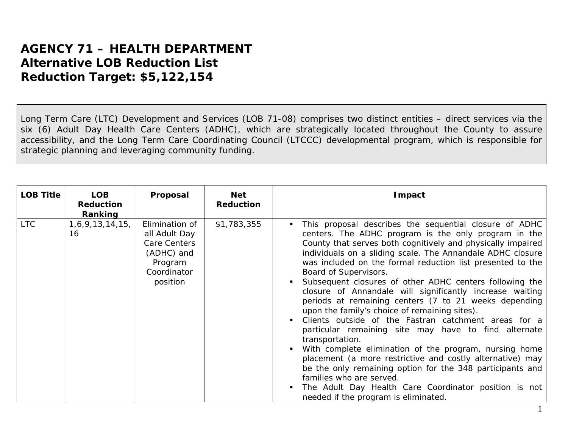#### **AGENCY 71 – HEALTH DEPARTMENT** *Alternative LOB Reduction List Reduction Target: \$5,122,154*

Long Term Care (LTC) Development and Services (LOB 71-08) comprises two distinct entities – direct services via the six (6) Adult Day Health Care Centers (ADHC), which are strategically located throughout the County to assure accessibility, and the Long Term Care Coordinating Council (LTCCC) developmental program, which is responsible for strategic planning and leveraging community funding.

| <b>LOB Title</b> | <b>LOB</b><br><b>Reduction</b><br>Ranking | Proposal                                                                                            | <b>Net</b><br><b>Reduction</b> | Impact                                                                                                                                                                                                                                                                                                                                                                                                                                                                                                                                                                                                                                                                                                                                                                                                                                                                                                                                                                                                                                                   |
|------------------|-------------------------------------------|-----------------------------------------------------------------------------------------------------|--------------------------------|----------------------------------------------------------------------------------------------------------------------------------------------------------------------------------------------------------------------------------------------------------------------------------------------------------------------------------------------------------------------------------------------------------------------------------------------------------------------------------------------------------------------------------------------------------------------------------------------------------------------------------------------------------------------------------------------------------------------------------------------------------------------------------------------------------------------------------------------------------------------------------------------------------------------------------------------------------------------------------------------------------------------------------------------------------|
| <b>LTC</b>       | 1,6,9,13,14,15,<br>16                     | Elimination of<br>all Adult Day<br>Care Centers<br>(ADHC) and<br>Program<br>Coordinator<br>position | \$1,783,355                    | This proposal describes the sequential closure of ADHC<br>٠<br>centers. The ADHC program is the only program in the<br>County that serves both cognitively and physically impaired<br>individuals on a sliding scale. The Annandale ADHC closure<br>was included on the formal reduction list presented to the<br>Board of Supervisors.<br>Subsequent closures of other ADHC centers following the<br>٠<br>closure of Annandale will significantly increase waiting<br>periods at remaining centers (7 to 21 weeks depending<br>upon the family's choice of remaining sites).<br>Clients outside of the Fastran catchment areas for a<br>particular remaining site may have to find alternate<br>transportation.<br>With complete elimination of the program, nursing home<br>$\blacksquare$<br>placement (a more restrictive and costly alternative) may<br>be the only remaining option for the 348 participants and<br>families who are served.<br>The Adult Day Health Care Coordinator position is not<br>п<br>needed if the program is eliminated. |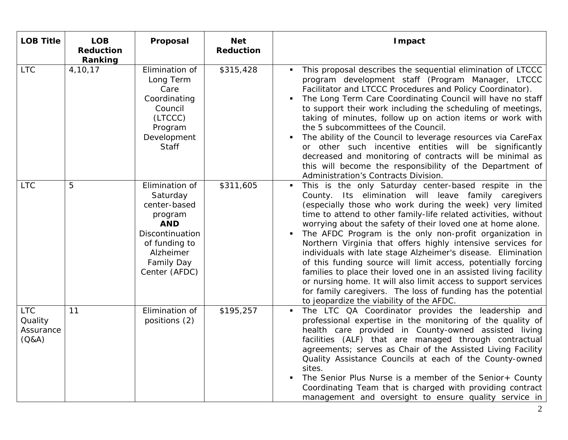| <b>LOB Title</b>                            | <b>LOB</b><br><b>Reduction</b><br>Ranking | Proposal                                                                                                                                            | <b>Net</b><br><b>Reduction</b> | <b>Impact</b>                                                                                                                                                                                                                                                                                                                                                                                                                                                                                                                                                                                                                                                                                                                                                                                                                              |
|---------------------------------------------|-------------------------------------------|-----------------------------------------------------------------------------------------------------------------------------------------------------|--------------------------------|--------------------------------------------------------------------------------------------------------------------------------------------------------------------------------------------------------------------------------------------------------------------------------------------------------------------------------------------------------------------------------------------------------------------------------------------------------------------------------------------------------------------------------------------------------------------------------------------------------------------------------------------------------------------------------------------------------------------------------------------------------------------------------------------------------------------------------------------|
| <b>LTC</b>                                  | 4,10,17                                   | Elimination of<br>Long Term<br>Care<br>Coordinating<br>Council<br>(LTCCC)<br>Program<br>Development<br><b>Staff</b>                                 | \$315,428                      | This proposal describes the sequential elimination of LTCCC<br>program development staff (Program Manager, LTCCC<br>Facilitator and LTCCC Procedures and Policy Coordinator).<br>The Long Term Care Coordinating Council will have no staff<br>to support their work including the scheduling of meetings,<br>taking of minutes, follow up on action items or work with<br>the 5 subcommittees of the Council.<br>The ability of the Council to leverage resources via CareFax<br>or other such incentive entities will be significantly<br>decreased and monitoring of contracts will be minimal as<br>this will become the responsibility of the Department of<br>Administration's Contracts Division.                                                                                                                                   |
| <b>LTC</b>                                  | 5                                         | Elimination of<br>Saturday<br>center-based<br>program<br><b>AND</b><br>Discontinuation<br>of funding to<br>Alzheimer<br>Family Day<br>Center (AFDC) | \$311,605                      | This is the only Saturday center-based respite in the<br>$\blacksquare$<br>County. Its elimination will leave family caregivers<br>(especially those who work during the week) very limited<br>time to attend to other family-life related activities, without<br>worrying about the safety of their loved one at home alone.<br>The AFDC Program is the only non-profit organization in<br>Northern Virginia that offers highly intensive services for<br>individuals with late stage Alzheimer's disease. Elimination<br>of this funding source will limit access, potentially forcing<br>families to place their loved one in an assisted living facility<br>or nursing home. It will also limit access to support services<br>for family caregivers. The loss of funding has the potential<br>to jeopardize the viability of the AFDC. |
| <b>LTC</b><br>Quality<br>Assurance<br>(Q&A) | 11                                        | Elimination of<br>positions (2)                                                                                                                     | \$195,257                      | The LTC QA Coordinator provides the leadership and<br>$\blacksquare$<br>professional expertise in the monitoring of the quality of<br>health care provided in County-owned assisted living<br>facilities (ALF) that are managed through contractual<br>agreements; serves as Chair of the Assisted Living Facility<br>Quality Assistance Councils at each of the County-owned<br>sites.<br>The Senior Plus Nurse is a member of the Senior+ County<br>Coordinating Team that is charged with providing contract<br>management and oversight to ensure quality service in                                                                                                                                                                                                                                                                   |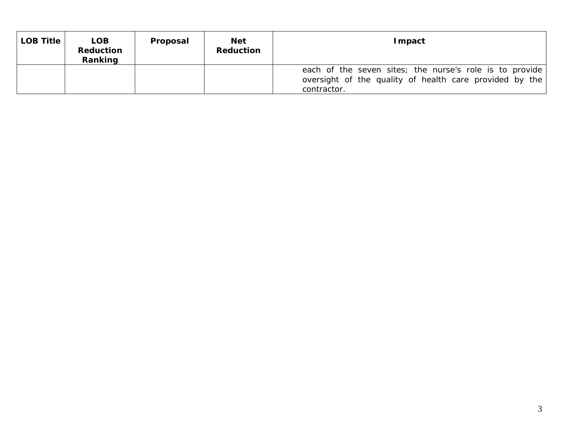| <b>LOB Title</b> | <b>LOB</b><br>Reduction<br>Ranking | Proposal | <b>Net</b><br><b>Reduction</b> | <b>Impact</b>                                                                                                                     |
|------------------|------------------------------------|----------|--------------------------------|-----------------------------------------------------------------------------------------------------------------------------------|
|                  |                                    |          |                                | each of the seven sites; the nurse's role is to provide<br>oversight of the quality of health care provided by the<br>contractor. |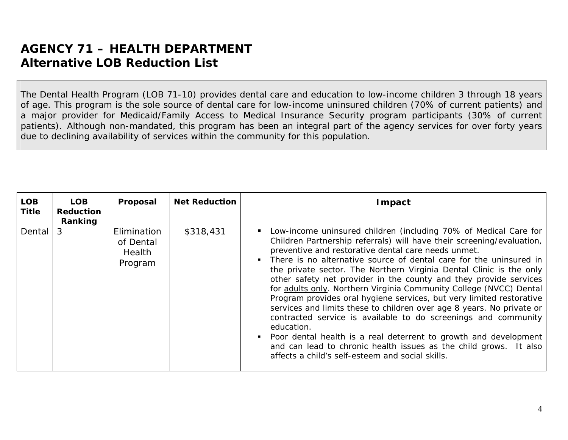The Dental Health Program (LOB 71-10) provides dental care and education to low-income children 3 through 18 years of age. This program is the sole source of dental care for low-income uninsured children (70% of current patients) and a major provider for Medicaid/Family Access to Medical Insurance Security program participants (30% of current patients). Although non-mandated, this program has been an integral part of the agency services for over forty years due to declining availability of services within the community for this population.

| <b>LOB</b><br><b>Title</b> | <b>LOB</b><br><b>Reduction</b><br>Ranking | Proposal                                      | <b>Net Reduction</b> | <b>I</b> mpact                                                                                                                                                                                                                                                                                                                                                                                                                                                                                                                                                                                                                                                                                                                                                                                                                                                                                                         |
|----------------------------|-------------------------------------------|-----------------------------------------------|----------------------|------------------------------------------------------------------------------------------------------------------------------------------------------------------------------------------------------------------------------------------------------------------------------------------------------------------------------------------------------------------------------------------------------------------------------------------------------------------------------------------------------------------------------------------------------------------------------------------------------------------------------------------------------------------------------------------------------------------------------------------------------------------------------------------------------------------------------------------------------------------------------------------------------------------------|
| Dental                     | $\mathcal{S}$                             | Elimination<br>of Dental<br>Health<br>Program | \$318,431            | Low-income uninsured children (including 70% of Medical Care for<br>Children Partnership referrals) will have their screening/evaluation,<br>preventive and restorative dental care needs unmet.<br>There is no alternative source of dental care for the uninsured in<br>the private sector. The Northern Virginia Dental Clinic is the only<br>other safety net provider in the county and they provide services<br>for adults only. Northern Virginia Community College (NVCC) Dental<br>Program provides oral hygiene services, but very limited restorative<br>services and limits these to children over age 8 years. No private or<br>contracted service is available to do screenings and community<br>education.<br>Poor dental health is a real deterrent to growth and development<br>and can lead to chronic health issues as the child grows. It also<br>affects a child's self-esteem and social skills. |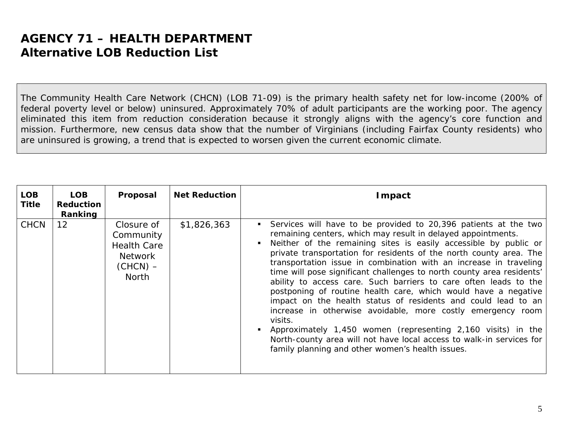The Community Health Care Network (CHCN) (LOB 71-09) is the primary health safety net for low-income (200% of federal poverty level or below) uninsured. Approximately 70% of adult participants are the working poor. The agency eliminated this item from reduction consideration because it strongly aligns with the agency's core function and mission. Furthermore, new census data show that the number of Virginians (including Fairfax County residents) who are uninsured is growing, a trend that is expected to worsen given the current economic climate.

| <b>LOB</b><br><b>Title</b> | <b>LOB</b><br><b>Reduction</b><br>Ranking | Proposal                                                                               | <b>Net Reduction</b> | Impact                                                                                                                                                                                                                                                                                                                                                                                                                                                                                                                                                                                                                                                                                                                                                                                                                                                                                               |
|----------------------------|-------------------------------------------|----------------------------------------------------------------------------------------|----------------------|------------------------------------------------------------------------------------------------------------------------------------------------------------------------------------------------------------------------------------------------------------------------------------------------------------------------------------------------------------------------------------------------------------------------------------------------------------------------------------------------------------------------------------------------------------------------------------------------------------------------------------------------------------------------------------------------------------------------------------------------------------------------------------------------------------------------------------------------------------------------------------------------------|
| <b>CHCN</b>                | 12 <sup>2</sup>                           | Closure of<br>Community<br><b>Health Care</b><br><b>Network</b><br>$(CHCN)$ –<br>North | \$1,826,363          | Services will have to be provided to 20,396 patients at the two<br>remaining centers, which may result in delayed appointments.<br>Neither of the remaining sites is easily accessible by public or<br>private transportation for residents of the north county area. The<br>transportation issue in combination with an increase in traveling<br>time will pose significant challenges to north county area residents'<br>ability to access care. Such barriers to care often leads to the<br>postponing of routine health care, which would have a negative<br>impact on the health status of residents and could lead to an<br>increase in otherwise avoidable, more costly emergency room<br>visits.<br>Approximately 1,450 women (representing 2,160 visits) in the<br>North-county area will not have local access to walk-in services for<br>family planning and other women's health issues. |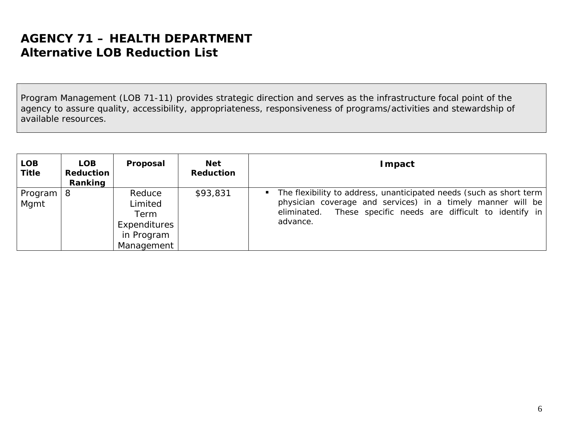Program Management (LOB 71-11) provides strategic direction and serves as the infrastructure focal point of the agency to assure quality, accessibility, appropriateness, responsiveness of programs/activities and stewardship of available resources.

| <b>LOB</b><br><b>Title</b> | <b>LOB</b><br>Reduction<br>Ranking | Proposal                                                              | <b>Net</b><br><b>Reduction</b> | <b>I</b> mpact                                                                                                                                                                                                                   |
|----------------------------|------------------------------------|-----------------------------------------------------------------------|--------------------------------|----------------------------------------------------------------------------------------------------------------------------------------------------------------------------------------------------------------------------------|
| Program<br>Mgmt            | 8                                  | Reduce<br>Limited<br>Term<br>Expenditures<br>in Program<br>Management | \$93,831                       | The flexibility to address, unanticipated needs (such as short term)<br>$\mathbf{r}$<br>physician coverage and services) in a timely manner will be<br>eliminated. These specific needs are difficult to identify in<br>advance. |